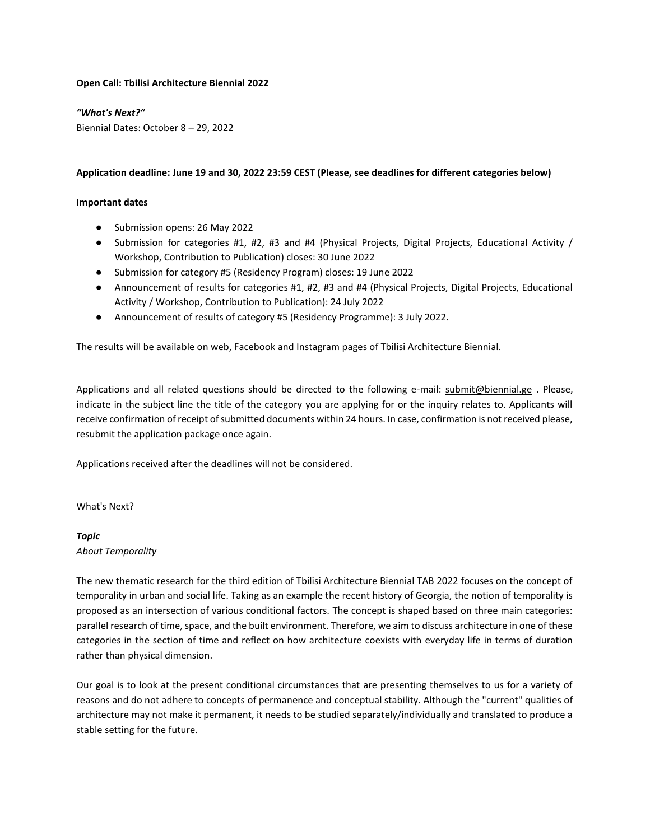## **Open Call: Tbilisi Architecture Biennial 2022**

## *"What's Next?"*

Biennial Dates: October 8 – 29, 2022

## **Application deadline: June 19 and 30, 2022 23:59 CEST (Please, see deadlines for different categories below)**

## **Important dates**

- Submission opens: 26 May 2022
- Submission for categories #1, #2, #3 and #4 (Physical Projects, Digital Projects, Educational Activity / Workshop, Contribution to Publication) closes: 30 June 2022
- Submission for category #5 (Residency Program) closes: 19 June 2022
- Announcement of results for categories #1, #2, #3 and #4 (Physical Projects, Digital Projects, Educational Activity / Workshop, Contribution to Publication): 24 July 2022
- Announcement of results of category #5 (Residency Programme): 3 July 2022.

The results will be available on web, Facebook and Instagram pages of Tbilisi Architecture Biennial.

Applications and all related questions should be directed to the following e-mail: [submit@biennial.ge](mailto:submit@biennial.ge). Please, indicate in the subject line the title of the category you are applying for or the inquiry relates to. Applicants will receive confirmation of receipt of submitted documents within 24 hours. In case, confirmation is not received please, resubmit the application package once again.

Applications received after the deadlines will not be considered.

## What's Next?

# *Topic*

*About Temporality* 

The new thematic research for the third edition of Tbilisi Architecture Biennial TAB 2022 focuses on the concept of temporality in urban and social life. Taking as an example the recent history of Georgia, the notion of temporality is proposed as an intersection of various conditional factors. The concept is shaped based on three main categories: parallel research of time, space, and the built environment. Therefore, we aim to discuss architecture in one of these categories in the section of time and reflect on how architecture coexists with everyday life in terms of duration rather than physical dimension.

Our goal is to look at the present conditional circumstances that are presenting themselves to us for a variety of reasons and do not adhere to concepts of permanence and conceptual stability. Although the "current" qualities of architecture may not make it permanent, it needs to be studied separately/individually and translated to produce a stable setting for the future.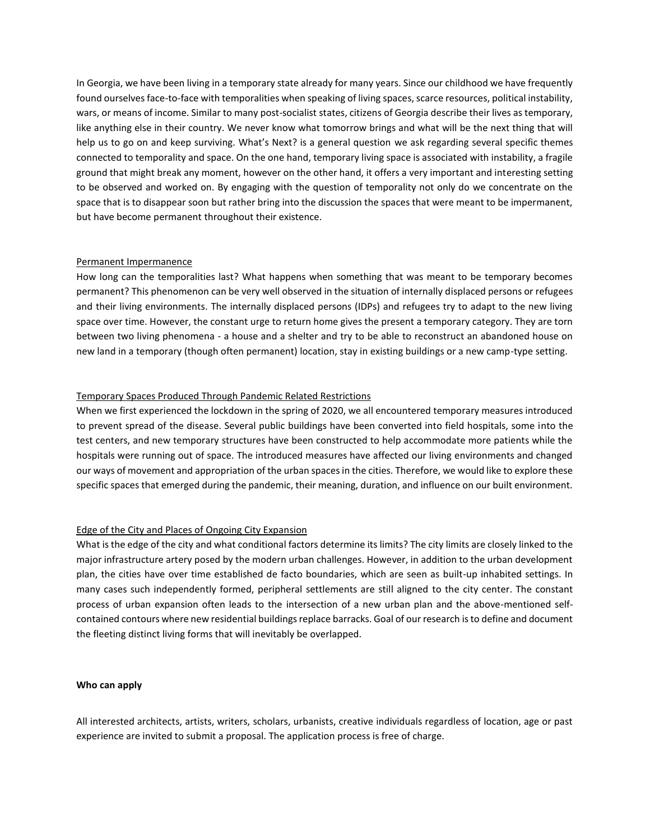In Georgia, we have been living in a temporary state already for many years. Since our childhood we have frequently found ourselves face-to-face with temporalities when speaking of living spaces, scarce resources, political instability, wars, or means of income. Similar to many post-socialist states, citizens of Georgia describe their lives as temporary, like anything else in their country. We never know what tomorrow brings and what will be the next thing that will help us to go on and keep surviving. What's Next? is a general question we ask regarding several specific themes connected to temporality and space. On the one hand, temporary living space is associated with instability, a fragile ground that might break any moment, however on the other hand, it offers a very important and interesting setting to be observed and worked on. By engaging with the question of temporality not only do we concentrate on the space that is to disappear soon but rather bring into the discussion the spaces that were meant to be impermanent, but have become permanent throughout their existence.

## Permanent Impermanence

How long can the temporalities last? What happens when something that was meant to be temporary becomes permanent? This phenomenon can be very well observed in the situation of internally displaced persons or refugees and their living environments. The internally displaced persons (IDPs) and refugees try to adapt to the new living space over time. However, the constant urge to return home gives the present a temporary category. They are torn between two living phenomena - a house and a shelter and try to be able to reconstruct an abandoned house on new land in a temporary (though often permanent) location, stay in existing buildings or a new camp-type setting.

## Temporary Spaces Produced Through Pandemic Related Restrictions

When we first experienced the lockdown in the spring of 2020, we all encountered temporary measures introduced to prevent spread of the disease. Several public buildings have been converted into field hospitals, some into the test centers, and new temporary structures have been constructed to help accommodate more patients while the hospitals were running out of space. The introduced measures have affected our living environments and changed our ways of movement and appropriation of the urban spaces in the cities. Therefore, we would like to explore these specific spaces that emerged during the pandemic, their meaning, duration, and influence on our built environment.

## Edge of the City and Places of Ongoing City Expansion

What is the edge of the city and what conditional factors determine its limits? The city limits are closely linked to the major infrastructure artery posed by the modern urban challenges. However, in addition to the urban development plan, the cities have over time established de facto boundaries, which are seen as built-up inhabited settings. In many cases such independently formed, peripheral settlements are still aligned to the city center. The constant process of urban expansion often leads to the intersection of a new urban plan and the above-mentioned selfcontained contours where new residential buildings replace barracks. Goal of our research is to define and document the fleeting distinct living forms that will inevitably be overlapped.

## **Who can apply**

All interested architects, artists, writers, scholars, urbanists, creative individuals regardless of location, age or past experience are invited to submit a proposal. The application process is free of charge.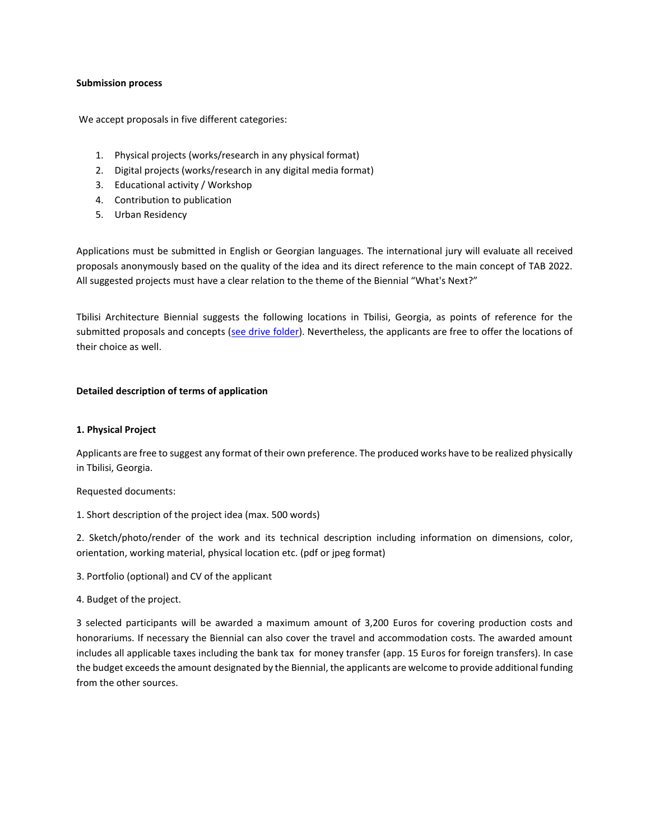## **Submission process**

We accept proposals in five different categories:

- 1. Physical projects (works/research in any physical format)
- 2. Digital projects (works/research in any digital media format)
- 3. Educational activity / Workshop
- 4. Contribution to publication
- 5. Urban Residency

Applications must be submitted in English or Georgian languages. The international jury will evaluate all received proposals anonymously based on the quality of the idea and its direct reference to the main concept of TAB 2022. All suggested projects must have a clear relation to the theme of the Biennial "What's Next?"

Tbilisi Architecture Biennial suggests the following locations in Tbilisi, Georgia, as points of reference for the submitted proposals and concepts [\(see drive folder\)](https://drive.google.com/drive/folders/1VjiYvhJrd0w7W9lQe7sVxYJb2kKp7b-u?usp=sharing). Nevertheless, the applicants are free to offer the locations of their choice as well.

## **Detailed description of terms of application**

# **1. Physical Project**

Applicants are free to suggest any format of their own preference. The produced works have to be realized physically in Tbilisi, Georgia.

Requested documents:

1. Short description of the project idea (max. 500 words)

2. Sketch/photo/render of the work and its technical description including information on dimensions, color, orientation, working material, physical location etc. (pdf or jpeg format)

- 3. Portfolio (optional) and CV of the applicant
- 4. Budget of the project.

3 selected participants will be awarded a maximum amount of 3,200 Euros for covering production costs and honorariums. If necessary the Biennial can also cover the travel and accommodation costs. The awarded amount includes all applicable taxes including the bank tax for money transfer (app. 15 Euros for foreign transfers). In case the budget exceeds the amount designated by the Biennial, the applicants are welcome to provide additional funding from the other sources.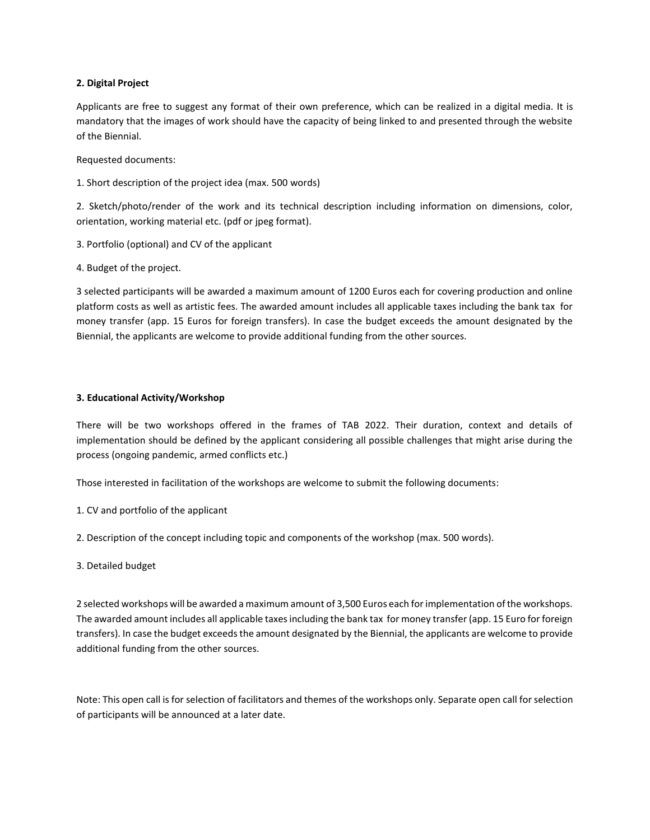## **2. Digital Project**

Applicants are free to suggest any format of their own preference, which can be realized in a digital media. It is mandatory that the images of work should have the capacity of being linked to and presented through the website of the Biennial.

Requested documents:

1. Short description of the project idea (max. 500 words)

2. Sketch/photo/render of the work and its technical description including information on dimensions, color, orientation, working material etc. (pdf or jpeg format).

- 3. Portfolio (optional) and CV of the applicant
- 4. Budget of the project.

3 selected participants will be awarded a maximum amount of 1200 Euros each for covering production and online platform costs as well as artistic fees. The awarded amount includes all applicable taxes including the bank tax for money transfer (app. 15 Euros for foreign transfers). In case the budget exceeds the amount designated by the Biennial, the applicants are welcome to provide additional funding from the other sources.

## **3. Educational Activity/Workshop**

There will be two workshops offered in the frames of TAB 2022. Their duration, context and details of implementation should be defined by the applicant considering all possible challenges that might arise during the process (ongoing pandemic, armed conflicts etc.)

Those interested in facilitation of the workshops are welcome to submit the following documents:

- 1. CV and portfolio of the applicant
- 2. Description of the concept including topic and components of the workshop (max. 500 words).
- 3. Detailed budget

2 selected workshops will be awarded a maximum amount of 3,500 Euros each for implementation of the workshops. The awarded amount includes all applicable taxes including the bank tax for money transfer (app. 15 Euro for foreign transfers). In case the budget exceeds the amount designated by the Biennial, the applicants are welcome to provide additional funding from the other sources.

Note: This open call is for selection of facilitators and themes of the workshops only. Separate open call for selection of participants will be announced at a later date.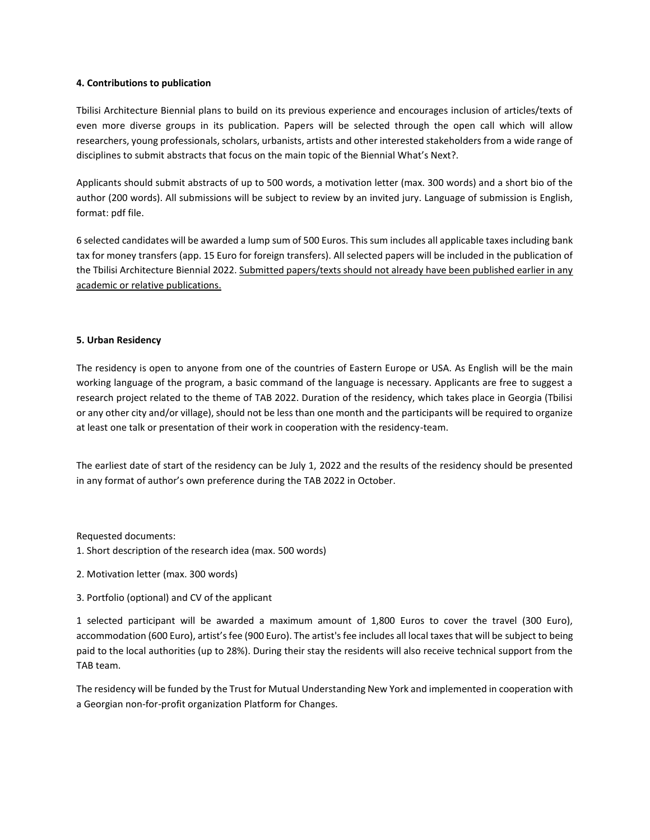## **4. Contributions to publication**

Tbilisi Architecture Biennial plans to build on its previous experience and encourages inclusion of articles/texts of even more diverse groups in its publication. Papers will be selected through the open call which will allow researchers, young professionals, scholars, urbanists, artists and other interested stakeholders from a wide range of disciplines to submit abstracts that focus on the main topic of the Biennial What's Next?.

Applicants should submit abstracts of up to 500 words, a motivation letter (max. 300 words) and a short bio of the author (200 words). All submissions will be subject to review by an invited jury. Language of submission is English, format: pdf file.

6 selected candidates will be awarded a lump sum of 500 Euros. This sum includes all applicable taxes including bank tax for money transfers (app. 15 Euro for foreign transfers). All selected papers will be included in the publication of the Tbilisi Architecture Biennial 2022. Submitted papers/texts should not already have been published earlier in any academic or relative publications.

## **5. Urban Residency**

The residency is open to anyone from one of the countries of Eastern Europe or USA. As English will be the main working language of the program, a basic command of the language is necessary. Applicants are free to suggest a research project related to the theme of TAB 2022. Duration of the residency, which takes place in Georgia (Tbilisi or any other city and/or village), should not be less than one month and the participants will be required to organize at least one talk or presentation of their work in cooperation with the residency-team.

The earliest date of start of the residency can be July 1, 2022 and the results of the residency should be presented in any format of author's own preference during the TAB 2022 in October.

Requested documents:

1. Short description of the research idea (max. 500 words)

- 2. Motivation letter (max. 300 words)
- 3. Portfolio (optional) and CV of the applicant

1 selected participant will be awarded a maximum amount of 1,800 Euros to cover the travel (300 Euro), accommodation (600 Euro), artist's fee (900 Euro). The artist's fee includes all local taxes that will be subject to being paid to the local authorities (up to 28%). During their stay the residents will also receive technical support from the TAB team.

The residency will be funded by the Trust for Mutual Understanding New York and implemented in cooperation with a Georgian non-for-profit organization Platform for Changes.